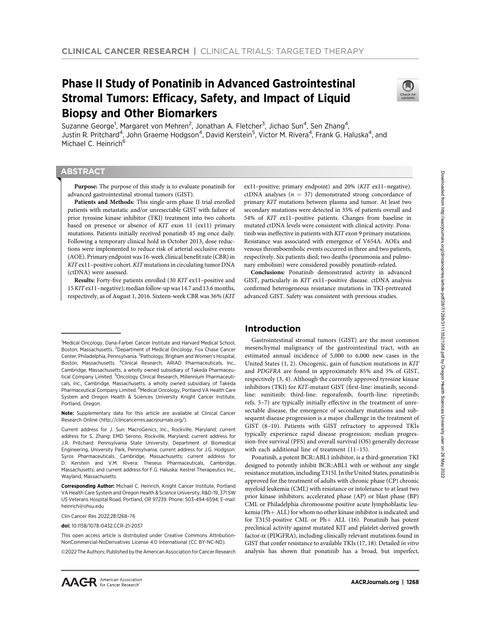# Phase II Study of Ponatinib in Advanced Gastrointestinal Stromal Tumors: Efficacy, Safety, and Impact of Liquid Biopsy and Other Biomarkers



Suzanne George<sup>1</sup>, Margaret von Mehren<sup>2</sup>, Jonathan A. Fletcher<sup>3</sup>, Jichao Sun<sup>4</sup>, Sen Zhang<sup>4</sup>, Justin R. Pritchard<sup>4</sup>, John Graeme Hodgson<sup>4</sup>, David Kerstein<sup>5</sup>, Victor M. Rivera<sup>4</sup>, Frank G. Haluska<sup>4</sup>, and Michael C. Heinrich<sup>6</sup>

# **ABSTRACT**

◥

Purpose: The purpose of this study is to evaluate ponatinib for advanced gastrointestinal stromal tumors (GIST).

Patients and Methods: This single-arm phase II trial enrolled patients with metastatic and/or unresectable GIST with failure of prior tyrosine kinase inhibitor (TKI) treatment into two cohorts based on presence or absence of KIT exon 11 (ex11) primary mutations. Patients initially received ponatinib 45 mg once daily. Following a temporary clinical hold in October 2013, dose reductions were implemented to reduce risk of arterial occlusive events (AOE). Primary endpoint was 16-week clinical benefit rate (CBR) in KIT ex11–positive cohort. KIT mutations in circulating tumor DNA (ctDNA) were assessed.

Results: Forty-five patients enrolled (30 KIT ex11–positive and 15KITex11–negative); medianfollow-up was 14.7 and 13.6 months, respectively, as of August 1, 2016. Sixteen-week CBR was 36% (KIT

Note: Supplementary data for this article are available at Clinical Cancer Research Online (http://clincancerres.aacrjournals.org/).

Clin Cancer Res 2022;28:1268–76

doi: 10.1158/1078-0432.CCR-21-2037

This open access article is distributed under Creative Commons Attribution-NonCommercial-NoDerivatives License 4.0 International (CC BY-NC-ND).

@2022 The Authors; Published by the American Association for Cancer Research

ex11–positive; primary endpoint) and 20% (KIT ex11–negative). ctDNA analyses ( $n = 37$ ) demonstrated strong concordance of primary KIT mutations between plasma and tumor. At least two secondary mutations were detected in 35% of patients overall and 54% of KIT ex11–positive patients. Changes from baseline in mutated ctDNA levels were consistent with clinical activity. Ponatinib was ineffective in patients with KIT exon 9 primary mutations. Resistance was associated with emergence of V654A. AOEs and venous thromboembolic events occurred in three and two patients, respectively. Six patients died; two deaths (pneumonia and pulmonary embolism) were considered possibly ponatinib-related.

Conclusions: Ponatinib demonstrated activity in advanced GIST, particularly in KIT ex11–positive disease. ctDNA analysis confirmed heterogeneous resistance mutations in TKI-pretreated advanced GIST. Safety was consistent with previous studies.

# Introduction

Gastrointestinal stromal tumors (GIST) are the most common mesenchymal malignancy of the gastrointestinal tract, with an estimated annual incidence of 5,000 to 6,000 new cases in the United States (1, 2). Oncogenic, gain of function mutations in KIT and PDGFRA are found in approximately 85% and 5% of GIST, respectively (3, 4). Although the currently approved tyrosine kinase inhibitors (TKI) for KIT-mutant GIST (first-line: imatinib; secondline: sunitinib; third-line: regorafenib, fourth-line: ripretinib; refs. 5–7) are typically initially effective in the treatment of unresectable disease, the emergence of secondary mutations and subsequent disease progression is a major challenge in the treatment of GIST (8–10). Patients with GIST refractory to approved TKIs typically experience rapid disease progression; median progression-free survival (PFS) and overall survival (OS) generally decrease with each additional line of treatment (11–15).

Ponatinib, a potent BCR::ABL1 inhibitor, is a third-generation TKI designed to potently inhibit BCR::ABL1 with or without any single resistance mutation, including T315I. In the United States, ponatinib is approved for the treatment of adults with chronic phase (CP) chronic myeloid leukemia (CML) with resistance or intolerance to at least two prior kinase inhibitors; accelerated phase (AP) or blast phase (BP) CML or Philadelphia chromosome positive acute lymphoblastic leukemia (Ph $+$  ALL) for whom no other kinase inhibitor is indicated; and for T315I-positive CML or Ph+ ALL (16). Ponatinib has potent preclinical activity against mutated KIT and platelet-derived growth factor- $\alpha$  (PDGFRA), including clinically relevant mutations found in GIST that confer resistance to available TKIs (17, 18). Detailed in vitro analysis has shown that ponatinib has a broad, but imperfect,

<sup>&</sup>lt;sup>1</sup>Medical Oncology, Dana-Farber Cancer Institute and Harvard Medical School, Boston, Massachusetts. <sup>2</sup>Department of Medical Oncology, Fox Chase Cancer Center, Philadelphia, Pennsylvania. <sup>3</sup>Pathology, Brigham and Women's Hospital, Boston, Massachusetts. <sup>4</sup>Clinical Research, ARIAD Pharmaceuticals, Inc., Cambridge, Massachusetts, a wholly owned subsidiary of Takeda Pharmaceutical Company Limited. <sup>5</sup>Oncology Clinical Research, Millennium Pharmaceuticals, Inc., Cambridge, Massachusetts, a wholly owned subsidiary of Takeda Pharmaceutical Company Limited. <sup>6</sup>Medical Oncology, Portland VA Health Care System and Oregon Health & Sciences University Knight Cancer Institute, Portland, Oregon.

Current address for J. Sun: MacroGenics, Inc., Rockville, Maryland; current address for S. Zhang: EMD Serono, Rockville, Maryland; current address for J.R. Pritchard: Pennsylvania State University, Department of Biomedical Engineering, University Park, Pennsylvania; current address for J.G. Hodgson: Syros Pharmaceuticals, Cambridge, Massachusetts; current address for D. Kerstein and V.M. Rivera: Theseus Pharmaceuticals, Cambridge, Massachusetts; and current address for F.G. Haluska: Kestrel Therapeutics Inc., Wayland, Massachusetts.

Corresponding Author: Michael C. Heinrich, Knight Cancer Institute, Portland VA Health Care System and Oregon Health & Science University, R&D-19, 371 SW US Veterans Hospital Road, Portland, OR 97239. Phone: 503-494-6594; E-mail: heinrich@ohsu.edu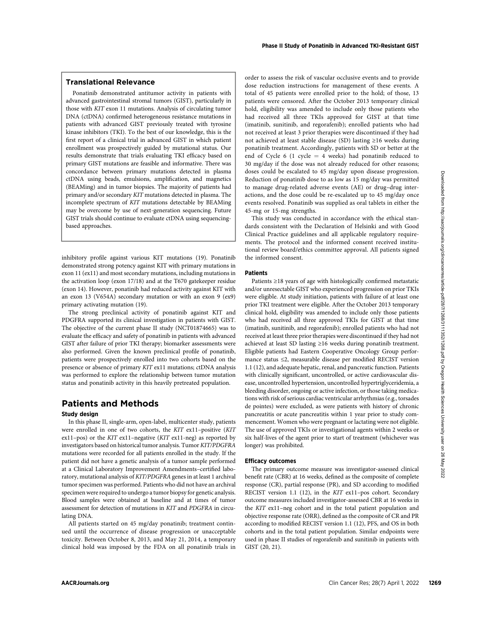# Translational Relevance

Ponatinib demonstrated antitumor activity in patients with advanced gastrointestinal stromal tumors (GIST), particularly in those with KIT exon 11 mutations. Analysis of circulating tumor DNA (ctDNA) confirmed heterogeneous resistance mutations in patients with advanced GIST previously treated with tyrosine kinase inhibitors (TKI). To the best of our knowledge, this is the first report of a clinical trial in advanced GIST in which patient enrollment was prospectively guided by mutational status. Our results demonstrate that trials evaluating TKI efficacy based on primary GIST mutations are feasible and informative. There was concordance between primary mutations detected in plasma ctDNA using beads, emulsions, amplification, and magnetics (BEAMing) and in tumor biopsies. The majority of patients had primary and/or secondary KIT mutations detected in plasma. The incomplete spectrum of KIT mutations detectable by BEAMing may be overcome by use of next-generation sequencing. Future GIST trials should continue to evaluate ctDNA using sequencingbased approaches.

inhibitory profile against various KIT mutations (19). Ponatinib demonstrated strong potency against KIT with primary mutations in exon 11 (ex11) and most secondary mutations, including mutations in the activation loop (exon 17/18) and at the T670 gatekeeper residue (exon 14). However, ponatinib had reduced activity against KIT with an exon 13 (V654A) secondary mutation or with an exon 9 (ex9) primary activating mutation (19).

The strong preclinical activity of ponatinib against KIT and PDGFRA supported its clinical investigation in patients with GIST. The objective of the current phase II study (NCT01874665) was to evaluate the efficacy and safety of ponatinib in patients with advanced GIST after failure of prior TKI therapy; biomarker assessments were also performed. Given the known preclinical profile of ponatinib, patients were prospectively enrolled into two cohorts based on the presence or absence of primary KIT ex11 mutations; ctDNA analysis was performed to explore the relationship between tumor mutation status and ponatinib activity in this heavily pretreated population.

# Patients and Methods

# Study design

In this phase II, single-arm, open-label, multicenter study, patients were enrolled in one of two cohorts, the KIT ex11–positive (KIT ex11–pos) or the KIT ex11–negative (KIT ex11-neg) as reported by investigators based on historical tumor analysis. Tumor KIT/PDGFRA mutations were recorded for all patients enrolled in the study. If the patient did not have a genetic analysis of a tumor sample performed at a Clinical Laboratory Improvement Amendments–certified laboratory, mutational analysis of KIT/PDGFRA genes in at least 1 archival tumor specimen was performed. Patients who did not have an archival specimen were required to undergo a tumor biopsy for genetic analysis. Blood samples were obtained at baseline and at times of tumor assessment for detection of mutations in KIT and PDGFRA in circulating DNA.

All patients started on 45 mg/day ponatinib; treatment continued until the occurrence of disease progression or unacceptable toxicity. Between October 8, 2013, and May 21, 2014, a temporary clinical hold was imposed by the FDA on all ponatinib trials in order to assess the risk of vascular occlusive events and to provide dose reduction instructions for management of these events. A total of 45 patients were enrolled prior to the hold; of those, 13 patients were censored. After the October 2013 temporary clinical hold, eligibility was amended to include only those patients who had received all three TKIs approved for GIST at that time (imatinib, sunitinib, and regorafenib); enrolled patients who had not received at least 3 prior therapies were discontinued if they had not achieved at least stable disease (SD) lasting ≥16 weeks during ponatinib treatment. Accordingly, patients with SD or better at the end of Cycle 6 (1 cycle  $= 4$  weeks) had ponatinib reduced to 30 mg/day if the dose was not already reduced for other reasons; doses could be escalated to 45 mg/day upon disease progression. Reduction of ponatinib dose to as low as 15 mg/day was permitted to manage drug-related adverse events (AE) or drug–drug interactions, and the dose could be re-escalated up to 45 mg/day once events resolved. Ponatinib was supplied as oral tablets in either the 45-mg or 15-mg strengths.

This study was conducted in accordance with the ethical standards consistent with the Declaration of Helsinki and with Good Clinical Practice guidelines and all applicable regulatory requirements. The protocol and the informed consent received institutional review board/ethics committee approval. All patients signed the informed consent.

# **Patients**

Patients ≥18 years of age with histologically confirmed metastatic and/or unresectable GIST who experienced progression on prior TKIs were eligible. At study initiation, patients with failure of at least one prior TKI treatment were eligible. After the October 2013 temporary clinical hold, eligibility was amended to include only those patients who had received all three approved TKIs for GIST at that time (imatinib, sunitinib, and regorafenib); enrolled patients who had not received at least three prior therapies were discontinued if they had not achieved at least SD lasting ≥16 weeks during ponatinib treatment. Eligible patients had Eastern Cooperative Oncology Group performance status ≤2, measurable disease per modified RECIST version 1.1 (12), and adequate hepatic, renal, and pancreatic function. Patients with clinically significant, uncontrolled, or active cardiovascular disease, uncontrolled hypertension, uncontrolled hypertriglyceridemia, a bleeding disorder, ongoing or active infection, or those taking medications with risk of serious cardiac ventricular arrhythmias (e.g., torsades de pointes) were excluded, as were patients with history of chronic pancreatitis or acute pancreatitis within 1 year prior to study commencement. Women who were pregnant or lactating were not eligible. The use of approved TKIs or investigational agents within 2 weeks or six half-lives of the agent prior to start of treatment (whichever was longer) was prohibited. ABCR/BOW was made the energy of the set of the set of the set of the set of the set of the set of the set of the set of the set of the set of the set of the set of the set of the set of the set of the set of the set of t

### Efficacy outcomes

The primary outcome measure was investigator-assessed clinical benefit rate (CBR) at 16 weeks, defined as the composite of complete response (CR), partial response (PR), and SD according to modified RECIST version 1.1 (12), in the KIT ex11–pos cohort. Secondary outcome measures included investigator-assessed CBR at 16 weeks in the KIT ex11–neg cohort and in the total patient population and objective response rate (ORR), defined as the composite of CR and PR according to modified RECIST version 1.1 (12), PFS, and OS in both cohorts and in the total patient population. Similar endpoints were used in phase II studies of regorafenib and sunitinib in patients with GIST (20, 21).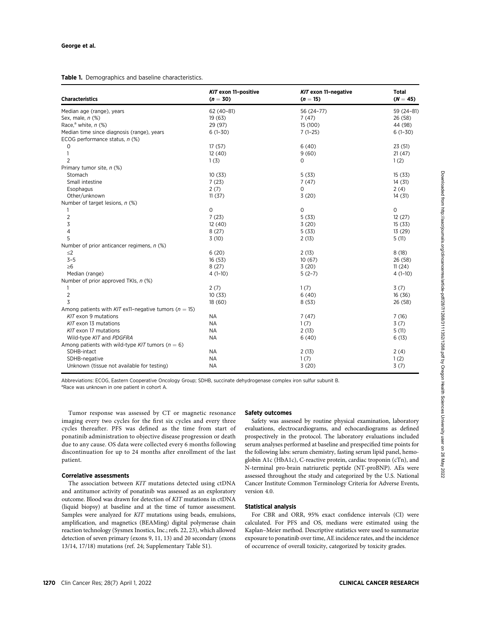Table 1. Demographics and baseline characteristics.

| <b>Characteristics</b>                                      | KIT exon 11-positive<br>$(n = 30)$ | KIT exon 11-negative<br>$(n = 15)$ | <b>Total</b><br>$(N = 45)$ |
|-------------------------------------------------------------|------------------------------------|------------------------------------|----------------------------|
| Median age (range), years                                   | $62(40-81)$                        | 56 (24-77)                         | 59 (24-81)                 |
| Sex, male, n (%)                                            | 19(63)                             | 7(47)                              | 26 (58)                    |
| Race, <sup>a</sup> white, $n$ (%)                           | 29 (97)                            | 15 (100)                           | 44 (98)                    |
| Median time since diagnosis (range), years                  | $6(1-30)$                          | $7(1-25)$                          | $6(1-30)$                  |
| ECOG performance status, $n$ (%)                            |                                    |                                    |                            |
| 0                                                           | 17(57)                             | 6(40)                              | 23(51)                     |
| 1                                                           | 12(40)                             | 9(60)                              | 21(47)                     |
| $\overline{2}$                                              | 1(3)                               | $\mathbf 0$                        | 1(2)                       |
| Primary tumor site, n (%)                                   |                                    |                                    |                            |
| Stomach                                                     | 10(33)                             | 5(33)                              | 15(33)                     |
| Small intestine                                             | 7(23)                              | 7(47)                              | 14(31)                     |
| Esophagus                                                   | 2(7)                               | 0                                  | 2(4)                       |
| Other/unknown                                               | 11(37)                             | 3(20)                              | 14(31)                     |
| Number of target lesions, n (%)                             |                                    |                                    |                            |
| 1                                                           | $\mathsf{O}$                       | $\circ$                            | $\circ$                    |
| $\overline{2}$                                              | 7(23)                              | 5(33)                              | 12(27)                     |
| 3                                                           | 12(40)                             | 3(20)                              | 15(33)                     |
| $\overline{4}$                                              | 8(27)                              | 5(33)                              | 13 (29)                    |
| 5                                                           | 3(10)                              | 2(13)                              | 5(11)                      |
| Number of prior anticancer regimens, $n$ (%)                |                                    |                                    |                            |
| $\leq$ 2                                                    | 6(20)                              | 2(13)                              | 8(18)                      |
| $3 - 5$                                                     | 16(53)                             | 10(67)                             | 26 (58)                    |
| $\geq 6$                                                    | 8(27)                              | 3(20)                              | 11(24)                     |
| Median (range)                                              | $4(1-10)$                          | $5(2-7)$                           | $4(1-10)$                  |
| Number of prior approved TKIs, n (%)                        |                                    |                                    |                            |
| 1                                                           | 2(7)                               | 1(7)                               | 3(7)                       |
| $\overline{2}$                                              | 10(33)                             | 6(40)                              | 16(36)                     |
| 3                                                           | 18(60)                             | 8(53)                              | 26 (58)                    |
| Among patients with $K/T$ ex11-negative tumors ( $n = 15$ ) |                                    |                                    |                            |
| $K/T$ exon 9 mutations                                      | <b>NA</b>                          | 7(47)                              | 7(16)                      |
| $K/T$ exon 13 mutations                                     | <b>NA</b>                          | 1(7)                               | 3(7)                       |
| KIT exon 17 mutations                                       | <b>NA</b>                          | 2(13)                              | 5(11)                      |
| Wild-type KIT and PDGFRA                                    | <b>NA</b>                          | 6(40)                              | 6(13)                      |
| Among patients with wild-type KIT tumors ( $n = 6$ )        |                                    |                                    |                            |
| SDHB-intact                                                 | <b>NA</b>                          | 2(13)                              | 2(4)                       |
| SDHB-negative                                               | <b>NA</b>                          | 1(7)                               | 1(2)                       |
| Unknown (tissue not available for testing)                  | <b>NA</b>                          | 3(20)                              | 3(7)                       |

Abbreviations: ECOG, Eastern Cooperative Oncology Group; SDHB, succinate dehydrogenase complex iron sulfur subunit B. <sup>a</sup>Race was unknown in one patient in cohort A.

Tumor response was assessed by CT or magnetic resonance imaging every two cycles for the first six cycles and every three cycles thereafter. PFS was defined as the time from start of ponatinib administration to objective disease progression or death due to any cause. OS data were collected every 6 months following discontinuation for up to 24 months after enrollment of the last patient.

# Correlative assessments

The association between KIT mutations detected using ctDNA and antitumor activity of ponatinib was assessed as an exploratory outcome. Blood was drawn for detection of KIT mutations in ctDNA (liquid biopsy) at baseline and at the time of tumor assessment. Samples were analyzed for KIT mutations using beads, emulsions, amplification, and magnetics (BEAMing) digital polymerase chain reaction technology (Sysmex Inostics, Inc.; refs. 22, 23), which allowed detection of seven primary (exons 9, 11, 13) and 20 secondary (exons 13/14, 17/18) mutations (ref. 24; Supplementary Table S1).

# Safety outcomes

Safety was assessed by routine physical examination, laboratory evaluations, electrocardiograms, and echocardiograms as defined prospectively in the protocol. The laboratory evaluations included serum analyses performed at baseline and prespecified time points for the following labs: serum chemistry, fasting serum lipid panel, hemoglobin A1c (HbA1c), C-reactive protein, cardiac troponin (cTn), and N-terminal pro-brain natriuretic peptide (NT-proBNP). AEs were assessed throughout the study and categorized by the U.S. National Cancer Institute Common Terminology Criteria for Adverse Events, version 4.0.

# Statistical analysis

For CBR and ORR, 95% exact confidence intervals (CI) were calculated. For PFS and OS, medians were estimated using the Kaplan–Meier method. Descriptive statistics were used to summarize exposure to ponatinib over time, AE incidence rates, and the incidence of occurrence of overall toxicity, categorized by toxicity grades.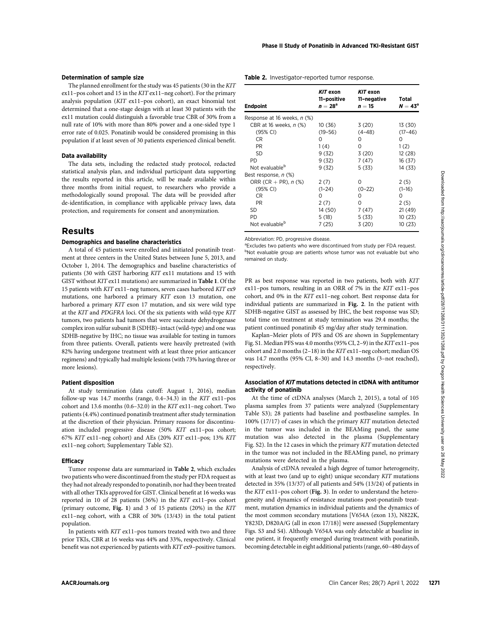### Determination of sample size

The planned enrollment for the study was 45 patients (30 in the KIT ex11–pos cohort and 15 in the KIT ex11–neg cohort). For the primary analysis population (KIT ex11–pos cohort), an exact binomial test determined that a one-stage design with at least 30 patients with the ex11 mutation could distinguish a favorable true CBR of 30% from a null rate of 10% with more than 80% power and a one-sided type 1 error rate of 0.025. Ponatinib would be considered promising in this population if at least seven of 30 patients experienced clinical benefit.

#### Data availability

The data sets, including the redacted study protocol, redacted statistical analysis plan, and individual participant data supporting the results reported in this article, will be made available within three months from initial request, to researchers who provide a methodologically sound proposal. The data will be provided after de-identification, in compliance with applicable privacy laws, data protection, and requirements for consent and anonymization.

# Results

# Demographics and baseline characteristics

A total of 45 patients were enrolled and initiated ponatinib treatment at three centers in the United States between June 5, 2013, and October 1, 2014. The demographics and baseline characteristics of patients (30 with GIST harboring KIT ex11 mutations and 15 with GIST without KIT ex11 mutations) are summarized in Table 1. Of the 15 patients with KIT ex11–neg tumors, seven cases harbored KIT ex9 mutations, one harbored a primary KIT exon 13 mutation, one harbored a primary KIT exon 17 mutation, and six were wild type at the KIT and PDGFRA loci. Of the six patients with wild-type KIT tumors, two patients had tumors that were succinate dehydrogenase complex iron sulfur subunit B (SDHB)–intact (wild-type) and one was SDHB-negative by IHC; no tissue was available for testing in tumors from three patients. Overall, patients were heavily pretreated (with 82% having undergone treatment with at least three prior anticancer regimens) and typically had multiple lesions (with 73% having three or more lesions).

#### Patient disposition

At study termination (data cutoff: August 1, 2016), median follow-up was 14.7 months (range, 0.4–34.3) in the KIT ex11–pos cohort and 13.6 months (0.6–32.0) in the KIT ex11–neg cohort. Two patients (4.4%) continued ponatinib treatment after study termination at the discretion of their physician. Primary reasons for discontinuation included progressive disease (50% KIT ex11–pos cohort; 67% KIT ex11–neg cohort) and AEs (20% KIT ex11–pos; 13% KIT ex11–neg cohort; Supplementary Table S2).

### **Efficacy**

Tumor response data are summarized in Table 2, which excludes two patients who were discontinued from the study per FDA request as they had not already responded to ponatinib, nor had they been treated with all other TKIs approved for GIST. Clinical benefit at 16 weeks was reported in 10 of 28 patients (36%) in the KIT ex11–pos cohort (primary outcome, Fig. 1) and 3 of 15 patients (20%) in the KIT ex11–neg cohort, with a CBR of 30% (13/43) in the total patient population.

In patients with KIT ex11–pos tumors treated with two and three prior TKIs, CBR at 16 weeks was 44% and 33%, respectively. Clinical benefit was not experienced by patients with KIT ex9–positive tumors.

#### Table 2. Investigator-reported tumor response.

| <b>Endpoint</b>             | KIT exon<br>11-positive<br>$n=28a$ | KIT exon<br>11-negative<br>$n=15$ | Total<br>$N = 43a$ |
|-----------------------------|------------------------------------|-----------------------------------|--------------------|
| Response at 16 weeks, n (%) |                                    |                                   |                    |
| CBR at 16 weeks, n (%)      | 10 (36)                            | 3(20)                             | 13 (30)            |
| (95% CI)                    | $(19 - 56)$                        | $(4 - 48)$                        | $(17-46)$          |
| CR.                         | Ω                                  | 0                                 | 0                  |
| PR.                         | 1(4)                               | 0                                 | 1 (2)              |
| SD                          | 9(32)                              | 3(20)                             | 12 (28)            |
| PD                          | 9(32)                              | 7 (47)                            | 16 (37)            |
| Not evaluable <sup>b</sup>  | 9(32)                              | 5 (33)                            | 14 (33)            |
| Best response, n (%)        |                                    |                                   |                    |
| ORR (CR $+$ PR), n (%)      | 2(7)                               | 0                                 | 2(5)               |
| (95% CI)                    | $(1-24)$                           | $(0-22)$                          | $(1-16)$           |
| CR.                         | Ω                                  | Ο                                 | 0                  |
| PR.                         | 2(7)                               | 0                                 | 2(5)               |
| SD                          | 14 (50)                            | 7 (47)                            | 21(49)             |
| PD                          | 5(18)                              | 5 (33)                            | 10 (23)            |
| Not evaluable <sup>b</sup>  | 7 (25)                             | 3 (20)                            | 10 (23)            |
|                             |                                    |                                   |                    |

Abbreviation: PD, progressive disease.

<sup>a</sup>Excludes two patients who were discontinued from study per FDA request. <sup>b</sup>Not evaluable group are patients whose tumor was not evaluable but who remained on study.

PR as best response was reported in two patients, both with KIT ex11–pos tumors, resulting in an ORR of 7% in the KIT ex11–pos cohort, and 0% in the KIT ex11–neg cohort. Best response data for individual patients are summarized in Fig. 2. In the patient with SDHB-negative GIST as assessed by IHC, the best response was SD; total time on treatment at study termination was 29.4 months; the patient continued ponatinib 45 mg/day after study termination.

Kaplan–Meier plots of PFS and OS are shown in Supplementary Fig. S1. Median PFS was 4.0 months (95% CI, 2–9) in the KIT ex11–pos cohort and 2.0 months (2–18) in the KIT ex11–neg cohort; median OS was 14.7 months (95% CI, 8–30) and 14.3 months (3–not reached), respectively.

#### Association of KIT mutations detected in ctDNA with antitumor activity of ponatinib

At the time of ctDNA analyses (March 2, 2015), a total of 105 plasma samples from 37 patients were analyzed (Supplementary Table S3); 28 patients had baseline and postbaseline samples. In 100% (17/17) of cases in which the primary KIT mutation detected in the tumor was included in the BEAMing panel, the same mutation was also detected in the plasma (Supplementary Fig. S2). In the 12 cases in which the primary KIT mutation detected in the tumor was not included in the BEAMing panel, no primary mutations were detected in the plasma.

Analysis of ctDNA revealed a high degree of tumor heterogeneity, with at least two (and up to eight) unique secondary KIT mutations detected in 35% (13/37) of all patients and 54% (13/24) of patients in the KIT ex11–pos cohort (Fig. 3). In order to understand the heterogeneity and dynamics of resistance mutations post-ponatinib treatment, mutation dynamics in individual patients and the dynamics of the most common secondary mutations [V654A (exon 13), N822K, Y823D, D820A/G (all in exon 17/18)] were assessed (Supplementary Figs. S3 and S4). Although V654A was only detectable at baseline in one patient, it frequently emerged during treatment with ponatinib, becoming detectable in eight additional patients (range, 60–480 days of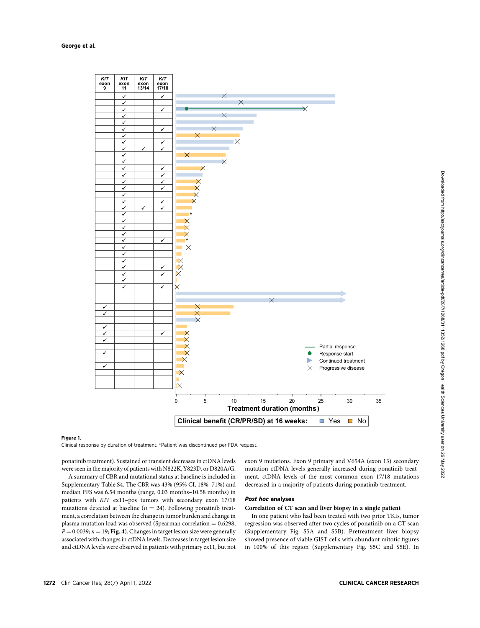#### George et al.



#### Figure 1.

Clinical response by duration of treatment. \* Patient was discontinued per FDA request.

ponatinib treatment). Sustained or transient decreases in ctDNA levels were seen in the majority of patients with N822K, Y823D, or D820A/G.

A summary of CBR and mutational status at baseline is included in Supplementary Table S4. The CBR was 43% (95% CI, 18%–71%) and median PFS was 6.54 months (range, 0.03 months–10.58 months) in patients with KIT ex11–pos tumors with secondary exon 17/18 mutations detected at baseline ( $n = 24$ ). Following ponatinib treatment, a correlation between the change in tumor burden and change in plasma mutation load was observed (Spearman correlation  $= 0.6298$ ;  $P = 0.0039; n = 19;$  Fig. 4). Changes in target lesion size were generally associated with changes in ctDNA levels. Decreases in target lesion size and ctDNA levels were observed in patients with primary ex11, but not exon 9 mutations. Exon 9 primary and V654A (exon 13) secondary mutation ctDNA levels generally increased during ponatinib treatment. ctDNA levels of the most common exon 17/18 mutations decreased in a majority of patients during ponatinib treatment.

# Post hoc analyses

#### Correlation of CT scan and liver biopsy in a single patient

In one patient who had been treated with two prior TKIs, tumor regression was observed after two cycles of ponatinib on a CT scan (Supplementary Fig. S5A and S5B). Pretreatment liver biopsy showed presence of viable GIST cells with abundant mitotic figures in 100% of this region (Supplementary Fig. S5C and S5E). In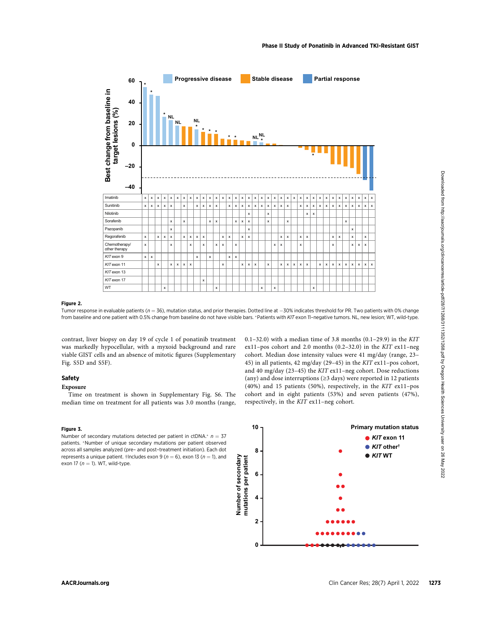

#### Figure 2.

Tumor response in evaluable patients ( $n = 36$ ), mutation status, and prior therapies. Dotted line at  $-30%$  indicates threshold for PR. Two patients with 0% change from baseline and one patient with 0.5% change from baseline do not have visible bars. \*Patients with KIT exon 11–negative tumors. NL, new lesion; WT, wild-type.

contrast, liver biopsy on day 19 of cycle 1 of ponatinib treatment was markedly hypocellular, with a myxoid background and rare viable GIST cells and an absence of mitotic figures (Supplementary Fig. S5D and S5F).

#### Safety

#### Exposure

Time on treatment is shown in Supplementary Fig. S6. The median time on treatment for all patients was 3.0 months (range,

#### Figure 3.

Number of secondary mutations detected per patient in ctDNA.<sup>\*</sup>  $n = 37$ patients. \*Number of unique secondary mutations per patient observed across all samples analyzed (pre– and post–treatment initiation). Each dot represents a unique patient. †Includes exon 9 ( $n = 6$ ), exon 13 ( $n = 1$ ), and exon 17 ( $n = 1$ ). WT, wild-type.

0.1–32.0) with a median time of 3.8 months  $(0.1–29.9)$  in the KIT ex11–pos cohort and 2.0 months (0.2–32.0) in the KIT ex11–neg cohort. Median dose intensity values were 41 mg/day (range, 23– 45) in all patients, 42 mg/day (29–45) in the KIT ex11–pos cohort, and 40 mg/day (23–45) the KIT ex11–neg cohort. Dose reductions (any) and dose interruptions (≥3 days) were reported in 12 patients (40%) and 15 patients (50%), respectively, in the KIT ex11–pos cohort and in eight patients (53%) and seven patients (47%), respectively, in the KIT ex11–neg cohort.

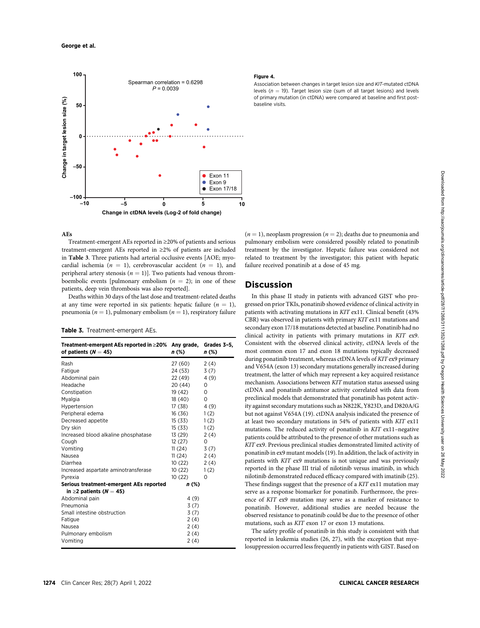

#### AEs

Treatment-emergent AEs reported in ≥20% of patients and serious treatment-emergent AEs reported in ≥2% of patients are included in Table 3. Three patients had arterial occlusive events [AOE; myocardial ischemia ( $n = 1$ ), cerebrovascular accident ( $n = 1$ ), and peripheral artery stenosis ( $n = 1$ )]. Two patients had venous thromboembolic events [pulmonary embolism  $(n = 2)$ ; in one of these patients, deep vein thrombosis was also reported].

Deaths within 30 days of the last dose and treatment-related deaths at any time were reported in six patients: hepatic failure  $(n = 1)$ , pneumonia ( $n = 1$ ), pulmonary embolism ( $n = 1$ ), respiratory failure

#### Table 3. Treatment-emergent AEs.

| Treatment-emergent AEs reported in $\geq$ 20% Any grade,<br>of patients ( $N = 45$ ) | n (%)   | Grades 3-5,<br>n (%) |
|--------------------------------------------------------------------------------------|---------|----------------------|
| Rash                                                                                 | 27 (60) | 2(4)                 |
| Fatique                                                                              | 24 (53) | 3(7)                 |
| Abdominal pain                                                                       | 22 (49) | 4(9)                 |
| Headache                                                                             | 20 (44) | 0                    |
| Constipation                                                                         | 19 (42) | 0                    |
| Myalgia                                                                              | 18 (40) | 0                    |
| Hypertension                                                                         | 17 (38) | 4(9)                 |
| Peripheral edema                                                                     | 16 (36) | 1(2)                 |
| Decreased appetite                                                                   | 15 (33) | 1(2)                 |
| Dry skin                                                                             | 15 (33) | 1(2)                 |
| Increased blood alkaline phosphatase                                                 | 13 (29) | 2(4)                 |
| Cough                                                                                | 12(27)  | 0                    |
| Vomiting                                                                             | 11(24)  | 3(7)                 |
| Nausea                                                                               | 11(24)  | 2(4)                 |
| Diarrhea                                                                             | 10 (22) | 2(4)                 |
| Increased aspartate aminotransferase                                                 | 10(22)  | 1(2)                 |
| Pyrexia                                                                              | 10(22)  | O                    |
| Serious treatment-emergent AEs reported                                              | n (%)   |                      |
| in $\geq$ 2 patients (N = 45)                                                        |         |                      |
| Abdominal pain                                                                       | 4(9)    |                      |
| Pneumonia                                                                            | 3(7)    |                      |
| Small intestine obstruction                                                          | 3(7)    |                      |
| Fatique                                                                              | 2(4)    |                      |
| Nausea                                                                               | 2(4)    |                      |
| Pulmonary embolism                                                                   | 2(4)    |                      |
| Vomiting                                                                             | 2(4)    |                      |

# Figure 4.

Association between changes in target lesion size and KIT-mutated ctDNA levels ( $n = 19$ ). Target lesion size (sum of all target lesions) and levels of primary mutation (in ctDNA) were compared at baseline and first postbaseline visits.

 $(n = 1)$ , neoplasm progression  $(n = 2)$ ; deaths due to pneumonia and pulmonary embolism were considered possibly related to ponatinib treatment by the investigator. Hepatic failure was considered not related to treatment by the investigator; this patient with hepatic failure received ponatinib at a dose of 45 mg.

# Discussion

In this phase II study in patients with advanced GIST who progressed on prior TKIs, ponatinib showed evidence of clinical activity in patients with activating mutations in KIT ex11. Clinical benefit (43% CBR) was observed in patients with primary KIT ex11 mutations and secondary exon 17/18 mutations detected at baseline. Ponatinib had no clinical activity in patients with primary mutations in KIT ex9. Consistent with the observed clinical activity, ctDNA levels of the most common exon 17 and exon 18 mutations typically decreased during ponatinib treatment, whereas ctDNA levels of KIT ex9 primary and V654A (exon 13) secondary mutations generally increased during treatment, the latter of which may represent a key acquired resistance mechanism. Associations between KIT mutation status assessed using ctDNA and ponatinib antitumor activity correlated with data from preclinical models that demonstrated that ponatinib has potent activity against secondary mutations such as N822K, Y823D, and D820A/G but not against V654A (19). ctDNA analysis indicated the presence of at least two secondary mutations in 54% of patients with KIT ex11 mutations. The reduced activity of ponatinib in KIT ex11–negative patients could be attributed to the presence of other mutations such as KIT ex9. Previous preclinical studies demonstrated limited activity of ponatinib in ex9 mutant models (19). In addition, the lack of activity in patients with KIT ex9 mutations is not unique and was previously reported in the phase III trial of nilotinib versus imatinib, in which nilotinib demonstrated reduced efficacy compared with imatinib (25). These findings suggest that the presence of a KIT ex11 mutation may serve as a response biomarker for ponatinib. Furthermore, the presence of KIT ex9 mutation may serve as a marker of resistance to ponatinib. However, additional studies are needed because the observed resistance to ponatinib could be due to the presence of other mutations, such as KIT exon 17 or exon 13 mutations.

The safety profile of ponatinib in this study is consistent with that reported in leukemia studies (26, 27), with the exception that myelosuppression occurred less frequently in patients with GIST. Based on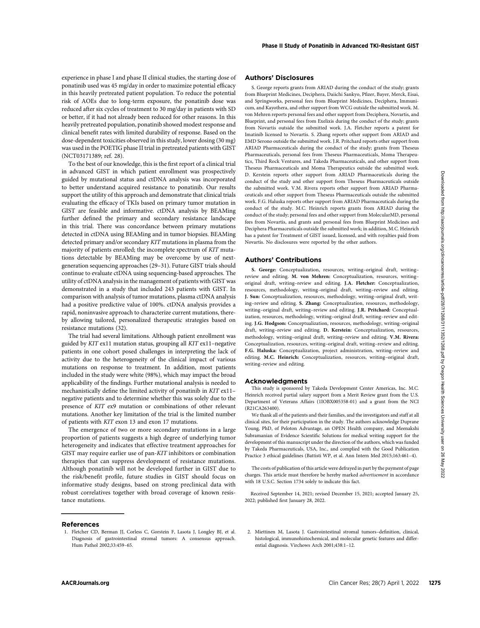experience in phase I and phase II clinical studies, the starting dose of ponatinib used was 45 mg/day in order to maximize potential efficacy in this heavily pretreated patient population. To reduce the potential risk of AOEs due to long-term exposure, the ponatinib dose was reduced after six cycles of treatment to 30 mg/day in patients with SD or better, if it had not already been reduced for other reasons. In this heavily pretreated population, ponatinib showed modest response and clinical benefit rates with limited durability of response. Based on the dose-dependent toxicities observed in this study, lower dosing (30 mg) was used in the POETIG phase II trial in pretreated patients with GIST (NCT03171389; ref. 28).

To the best of our knowledge, this is the first report of a clinical trial in advanced GIST in which patient enrollment was prospectively guided by mutational status and ctDNA analysis was incorporated to better understand acquired resistance to ponatinib. Our results support the utility of this approach and demonstrate that clinical trials evaluating the efficacy of TKIs based on primary tumor mutation in GIST are feasible and informative. ctDNA analysis by BEAMing further defined the primary and secondary resistance landscape in this trial. There was concordance between primary mutations detected in ctDNA using BEAMing and in tumor biopsies. BEAMing detected primary and/or secondary KIT mutations in plasma from the majority of patients enrolled; the incomplete spectrum of KIT mutations detectable by BEAMing may be overcome by use of nextgeneration sequencing approaches (29–31). Future GIST trials should continue to evaluate ctDNA using sequencing-based approaches. The utility of ctDNA analysis in the management of patients with GIST was demonstrated in a study that included 243 patients with GIST. In comparison with analysis of tumor mutations, plasma ctDNA analysis had a positive predictive value of 100%. ctDNA analysis provides a rapid, noninvasive approach to characterize current mutations, thereby allowing tailored, personalized therapeutic strategies based on resistance mutations (32). ARAB The main the state of the client of the client of the state of the state of the state of the state of the state of the state of the state of the state of the state of the state of the state of the state of the state

The trial had several limitations. Although patient enrollment was guided by KIT ex11 mutation status, grouping all KIT ex11–negative patients in one cohort posed challenges in interpreting the lack of activity due to the heterogeneity of the clinical impact of various mutations on response to treatment. In addition, most patients included in the study were white (98%), which may impact the broad applicability of the findings. Further mutational analysis is needed to mechanistically define the limited activity of ponatinib in KIT ex11– negative patients and to determine whether this was solely due to the presence of KIT ex9 mutation or combinations of other relevant mutations. Another key limitation of the trial is the limited number of patients with KIT exon 13 and exon 17 mutations.

The emergence of two or more secondary mutations in a large proportion of patients suggests a high degree of underlying tumor heterogeneity and indicates that effective treatment approaches for GIST may require earlier use of pan-KIT inhibitors or combination therapies that can suppress development of resistance mutations. Although ponatinib will not be developed further in GIST due to the risk/benefit profile, future studies in GIST should focus on informative study designs, based on strong preclinical data with robust correlatives together with broad coverage of known resistance mutations.

### Authors' Disclosures

S. George reports grants from ARIAD during the conduct of the study; grants from Blueprint Medicines, Deciphera, Daiichi Sankyo, Pfizer, Bayer, Merck, Eisai, and Springworks, personal fees from Blueprint Medicines, Deciphera, Immunicum, and Kayothera, and other support from WCG outside the submitted work. M. von Mehren reports personal fees and other support from Deciphera, Novartis, and Blueprint, and personal fees from Exelixis during the conduct of the study; grants from Novartis outside the submitted work. J.A. Fletcher reports a patent for Imatinib licensed to Novartis. S. Zhang reports other support from ARIAD and EMD Serono outside the submitted work. J.R. Pritchard reports other support from ARIAD Pharmaceuticals during the conduct of the study; grants from Theseus Pharmaceuticals, personal fees from Theseus Pharmaceuticals, Moma Therapeutics, Third Rock Ventures, and Takeda Pharmaceuticals, and other support from Theseus Pharmaceuticals and Moma Therapeutics outside the submitted work. D. Kerstein reports other support from ARIAD Pharmaceuticals during the conduct of the study and other support from Theseus Pharmaceuticals outside the submitted work. V.M. Rivera reports other support from ARIAD Pharmaceuticals and other support from Theseus Pharmaceuticals outside the submitted work. F.G. Haluska reports other support from ARIAD Pharmaceuticals during the conduct of the study. M.C. Heinrich reports grants from ARIAD during the conduct of the study; personal fees and other support from MolecularMD, personal fees from Novartis, and grants and personal fees from Blueprint Medicines and Deciphera Pharmaceuticals outside the submitted work; in addition, M.C. Heinrich has a patent for Treatment of GIST issued, licensed, and with royalties paid from Novartis. No disclosures were reported by the other authors.

#### Authors' Contributions

S. George: Conceptualization, resources, writing–original draft, writing– review and editing. M. von Mehren: Conceptualization, resources, writing– original draft, writing–review and editing. J.A. Fletcher: Conceptualization, resources, methodology, writing–original draft, writing–review and editing. J. Sun: Conceptualization, resources, methodology, writing–original draft, writing–review and editing. S. Zhang: Conceptualization, resources, methodology, writing–original draft, writing–review and editing. J.R. Pritchard: Conceptualization, resources, methodology, writing–original draft, writing–review and editing. J.G. Hodgson: Conceptualization, resources, methodology, writing–original draft, writing–review and editing. D. Kerstein: Conceptualization, resources, methodology, writing–original draft, writing–review and editing. V.M. Rivera: Conceptualization, resources, writing–original draft, writing–review and editing. F.G. Haluska: Conceptualization, project administration, writing–review and editing. M.C. Heinrich: Conceptualization, resources, writing–original draft, writing–review and editing.

#### Acknowledgments

This study is sponsored by Takeda Development Center Americas, Inc. M.C. Heinrich received partial salary support from a Merit Review grant from the U.S. Department of Veterans Affairs (1IOBX005358-01) and a grant from the NCI (R21CA263400).

We thank all of the patients and their families, and the investigators and staff at all clinical sites, for their participation in the study. The authors acknowledge Duprane Young, PhD, of Peloton Advantage, an OPEN Health company, and Meenakshi Subramanian of Evidence Scientific Solutions for medical writing support for the development of this manuscript under the direction of the authors, which was funded by Takeda Pharmaceuticals, USA, Inc., and complied with the Good Publication Practice 3 ethical guidelines (Battisti WP, et al. Ann Intern Med 2015;163:461–4).

The costs of publication of this article were defrayed in part by the payment of page charges. This article must therefore be hereby marked advertisement in accordance with 18 U.S.C. Section 1734 solely to indicate this fact.

Received September 14, 2021; revised December 15, 2021; accepted January 25, 2022; published first January 28, 2022.

#### References

- 1. Fletcher CD, Berman JJ, Corless C, Gorstein F, Lasota J, Longley BJ, et al. Diagnosis of gastrointestinal stromal tumors: A consensus approach. Hum Pathol 2002;33:459–65.
- 2. Miettinen M, Lasota J. Gastrointestinal stromal tumors–definition, clinical, histological, immunohistochemical, and molecular genetic features and differential diagnosis. Virchows Arch 2001;438:1–12.